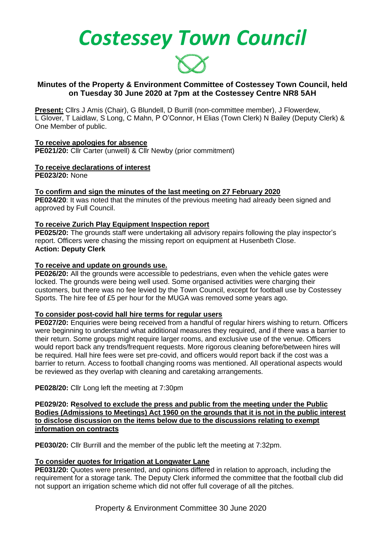*Costessey Town Council*



## **Minutes of the Property & Environment Committee of Costessey Town Council, held on Tuesday 30 June 2020 at 7pm at the Costessey Centre NR8 5AH**

**Present:** Cllrs J Amis (Chair), G Blundell, D Burrill (non-committee member), J Flowerdew, L Glover, T Laidlaw, S Long, C Mahn, P O'Connor, H Elias (Town Clerk) N Bailey (Deputy Clerk) & One Member of public.

**To receive apologies for absence PE021/20:** Cllr Carter (unwell) & Cllr Newby (prior commitment)

# **To receive declarations of interest**

**PE023/20:** None

**To confirm and sign the minutes of the last meeting on 27 February 2020 PE024/20**: It was noted that the minutes of the previous meeting had already been signed and approved by Full Council.

# **To receive Zurich Play Equipment Inspection report**

**PE025/20:** The grounds staff were undertaking all advisory repairs following the play inspector's report. Officers were chasing the missing report on equipment at Husenbeth Close. **Action: Deputy Clerk** 

## **To receive and update on grounds use.**

**PE026/20:** All the grounds were accessible to pedestrians, even when the vehicle gates were locked. The grounds were being well used. Some organised activities were charging their customers, but there was no fee levied by the Town Council, except for football use by Costessey Sports. The hire fee of £5 per hour for the MUGA was removed some years ago.

## **To consider post-covid hall hire terms for regular users**

**PE027/20:** Enquiries were being received from a handful of regular hirers wishing to return. Officers were beginning to understand what additional measures they required, and if there was a barrier to their return. Some groups might require larger rooms, and exclusive use of the venue. Officers would report back any trends/frequent requests. More rigorous cleaning before/between hires will be required. Hall hire fees were set pre-covid, and officers would report back if the cost was a barrier to return. Access to football changing rooms was mentioned. All operational aspects would be reviewed as they overlap with cleaning and caretaking arrangements.

**PE028/20:** Cllr Long left the meeting at 7:30pm

**PE029/20: Resolved to exclude the press and public from the meeting under the Public Bodies (Admissions to Meetings) Act 1960 on the grounds that it is not in the public interest to disclose discussion on the items below due to the discussions relating to exempt information on contracts**

**PE030/20:** Cllr Burrill and the member of the public left the meeting at 7:32pm.

# **To consider quotes for Irrigation at Longwater Lane**

**PE031/20:** Quotes were presented, and opinions differed in relation to approach, including the requirement for a storage tank. The Deputy Clerk informed the committee that the football club did not support an irrigation scheme which did not offer full coverage of all the pitches.

Property & Environment Committee 30 June 2020